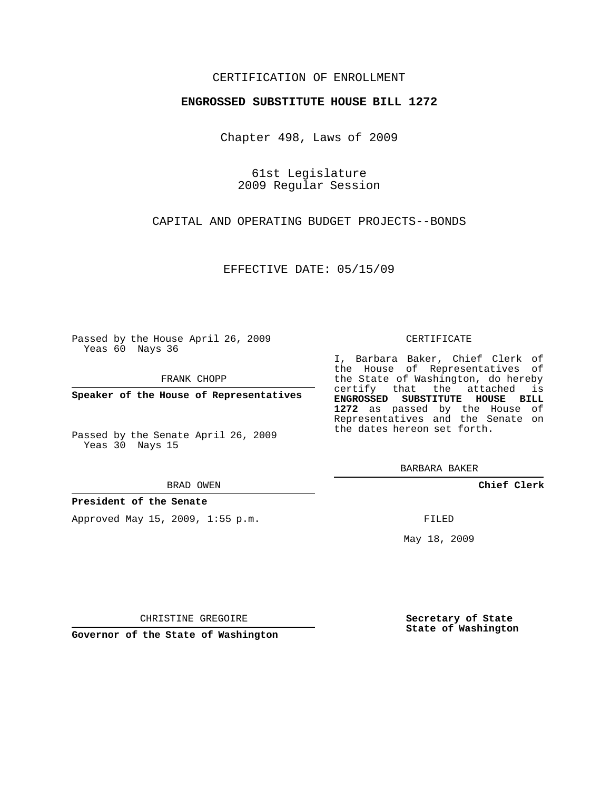## CERTIFICATION OF ENROLLMENT

### **ENGROSSED SUBSTITUTE HOUSE BILL 1272**

Chapter 498, Laws of 2009

61st Legislature 2009 Regular Session

CAPITAL AND OPERATING BUDGET PROJECTS--BONDS

EFFECTIVE DATE: 05/15/09

Passed by the House April 26, 2009 Yeas 60 Nays 36

FRANK CHOPP

**Speaker of the House of Representatives**

Passed by the Senate April 26, 2009 Yeas 30 Nays 15

#### BRAD OWEN

**President of the Senate**

Approved May 15, 2009, 1:55 p.m.

#### CERTIFICATE

I, Barbara Baker, Chief Clerk of the House of Representatives of the State of Washington, do hereby certify that the attached is **ENGROSSED SUBSTITUTE HOUSE BILL 1272** as passed by the House of Representatives and the Senate on the dates hereon set forth.

BARBARA BAKER

**Chief Clerk**

FILED

May 18, 2009

**Secretary of State State of Washington**

CHRISTINE GREGOIRE

**Governor of the State of Washington**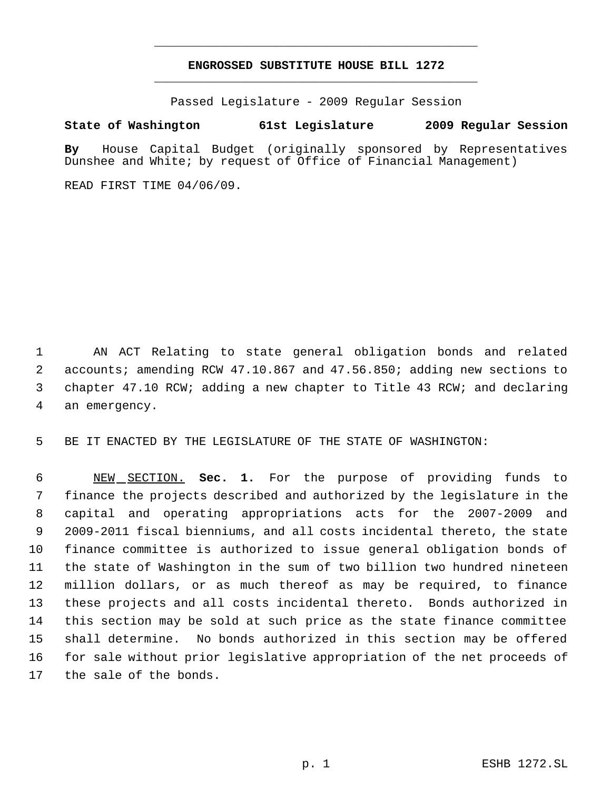# **ENGROSSED SUBSTITUTE HOUSE BILL 1272** \_\_\_\_\_\_\_\_\_\_\_\_\_\_\_\_\_\_\_\_\_\_\_\_\_\_\_\_\_\_\_\_\_\_\_\_\_\_\_\_\_\_\_\_\_

\_\_\_\_\_\_\_\_\_\_\_\_\_\_\_\_\_\_\_\_\_\_\_\_\_\_\_\_\_\_\_\_\_\_\_\_\_\_\_\_\_\_\_\_\_

Passed Legislature - 2009 Regular Session

## **State of Washington 61st Legislature 2009 Regular Session**

**By** House Capital Budget (originally sponsored by Representatives Dunshee and White; by request of Office of Financial Management)

READ FIRST TIME 04/06/09.

 AN ACT Relating to state general obligation bonds and related accounts; amending RCW 47.10.867 and 47.56.850; adding new sections to chapter 47.10 RCW; adding a new chapter to Title 43 RCW; and declaring an emergency.

BE IT ENACTED BY THE LEGISLATURE OF THE STATE OF WASHINGTON:

 NEW SECTION. **Sec. 1.** For the purpose of providing funds to finance the projects described and authorized by the legislature in the capital and operating appropriations acts for the 2007-2009 and 2009-2011 fiscal bienniums, and all costs incidental thereto, the state finance committee is authorized to issue general obligation bonds of the state of Washington in the sum of two billion two hundred nineteen million dollars, or as much thereof as may be required, to finance these projects and all costs incidental thereto. Bonds authorized in this section may be sold at such price as the state finance committee shall determine. No bonds authorized in this section may be offered for sale without prior legislative appropriation of the net proceeds of the sale of the bonds.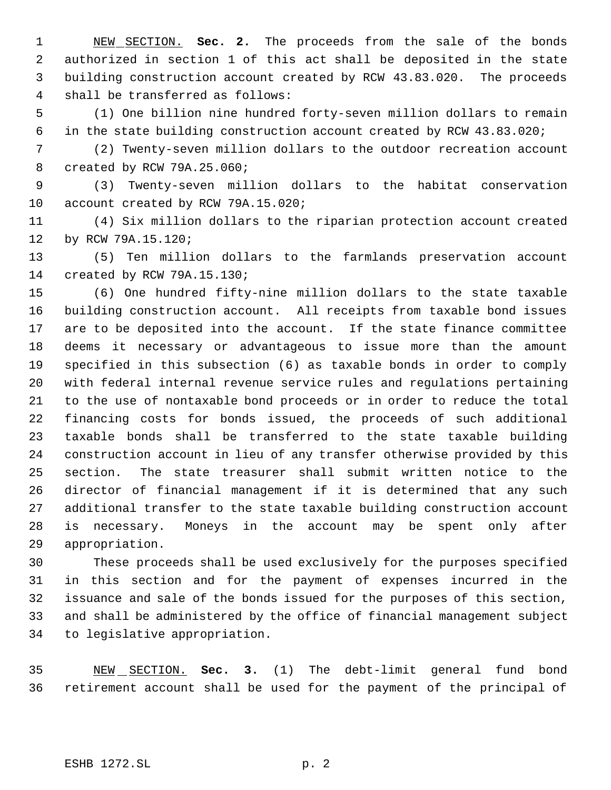NEW SECTION. **Sec. 2.** The proceeds from the sale of the bonds authorized in section 1 of this act shall be deposited in the state building construction account created by RCW 43.83.020. The proceeds shall be transferred as follows:

 (1) One billion nine hundred forty-seven million dollars to remain in the state building construction account created by RCW 43.83.020;

 (2) Twenty-seven million dollars to the outdoor recreation account created by RCW 79A.25.060;

 (3) Twenty-seven million dollars to the habitat conservation 10 account created by RCW 79A.15.020;

 (4) Six million dollars to the riparian protection account created by RCW 79A.15.120;

 (5) Ten million dollars to the farmlands preservation account created by RCW 79A.15.130;

 (6) One hundred fifty-nine million dollars to the state taxable building construction account. All receipts from taxable bond issues are to be deposited into the account. If the state finance committee deems it necessary or advantageous to issue more than the amount specified in this subsection (6) as taxable bonds in order to comply with federal internal revenue service rules and regulations pertaining to the use of nontaxable bond proceeds or in order to reduce the total financing costs for bonds issued, the proceeds of such additional taxable bonds shall be transferred to the state taxable building construction account in lieu of any transfer otherwise provided by this section. The state treasurer shall submit written notice to the director of financial management if it is determined that any such additional transfer to the state taxable building construction account is necessary. Moneys in the account may be spent only after appropriation.

 These proceeds shall be used exclusively for the purposes specified in this section and for the payment of expenses incurred in the issuance and sale of the bonds issued for the purposes of this section, and shall be administered by the office of financial management subject to legislative appropriation.

 NEW SECTION. **Sec. 3.** (1) The debt-limit general fund bond retirement account shall be used for the payment of the principal of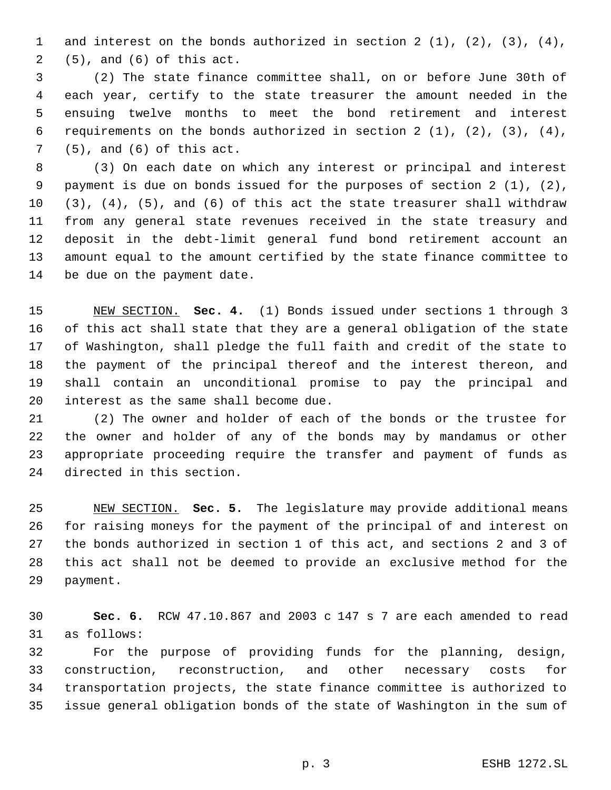and interest on the bonds authorized in section 2 (1), (2), (3), (4), (5), and (6) of this act.

 (2) The state finance committee shall, on or before June 30th of each year, certify to the state treasurer the amount needed in the ensuing twelve months to meet the bond retirement and interest 6 requirements on the bonds authorized in section  $2(1)$ ,  $(2)$ ,  $(3)$ ,  $(4)$ , (5), and (6) of this act.

 (3) On each date on which any interest or principal and interest payment is due on bonds issued for the purposes of section 2 (1), (2), (3), (4), (5), and (6) of this act the state treasurer shall withdraw from any general state revenues received in the state treasury and deposit in the debt-limit general fund bond retirement account an amount equal to the amount certified by the state finance committee to be due on the payment date.

 NEW SECTION. **Sec. 4.** (1) Bonds issued under sections 1 through 3 of this act shall state that they are a general obligation of the state of Washington, shall pledge the full faith and credit of the state to the payment of the principal thereof and the interest thereon, and shall contain an unconditional promise to pay the principal and interest as the same shall become due.

 (2) The owner and holder of each of the bonds or the trustee for the owner and holder of any of the bonds may by mandamus or other appropriate proceeding require the transfer and payment of funds as directed in this section.

 NEW SECTION. **Sec. 5.** The legislature may provide additional means for raising moneys for the payment of the principal of and interest on the bonds authorized in section 1 of this act, and sections 2 and 3 of this act shall not be deemed to provide an exclusive method for the payment.

 **Sec. 6.** RCW 47.10.867 and 2003 c 147 s 7 are each amended to read as follows:

 For the purpose of providing funds for the planning, design, construction, reconstruction, and other necessary costs for transportation projects, the state finance committee is authorized to issue general obligation bonds of the state of Washington in the sum of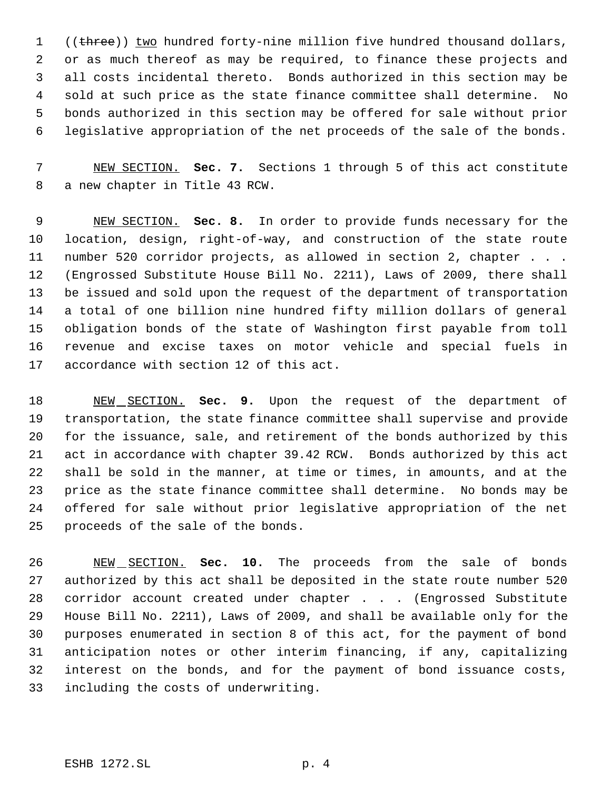1 ((three)) two hundred forty-nine million five hundred thousand dollars, or as much thereof as may be required, to finance these projects and all costs incidental thereto. Bonds authorized in this section may be sold at such price as the state finance committee shall determine. No bonds authorized in this section may be offered for sale without prior legislative appropriation of the net proceeds of the sale of the bonds.

 NEW SECTION. **Sec. 7.** Sections 1 through 5 of this act constitute a new chapter in Title 43 RCW.

 NEW SECTION. **Sec. 8.** In order to provide funds necessary for the location, design, right-of-way, and construction of the state route number 520 corridor projects, as allowed in section 2, chapter . . . (Engrossed Substitute House Bill No. 2211), Laws of 2009, there shall be issued and sold upon the request of the department of transportation a total of one billion nine hundred fifty million dollars of general obligation bonds of the state of Washington first payable from toll revenue and excise taxes on motor vehicle and special fuels in accordance with section 12 of this act.

 NEW SECTION. **Sec. 9.** Upon the request of the department of transportation, the state finance committee shall supervise and provide for the issuance, sale, and retirement of the bonds authorized by this act in accordance with chapter 39.42 RCW. Bonds authorized by this act shall be sold in the manner, at time or times, in amounts, and at the price as the state finance committee shall determine. No bonds may be offered for sale without prior legislative appropriation of the net proceeds of the sale of the bonds.

 NEW SECTION. **Sec. 10.** The proceeds from the sale of bonds authorized by this act shall be deposited in the state route number 520 28 corridor account created under chapter . . . (Engrossed Substitute House Bill No. 2211), Laws of 2009, and shall be available only for the purposes enumerated in section 8 of this act, for the payment of bond anticipation notes or other interim financing, if any, capitalizing interest on the bonds, and for the payment of bond issuance costs, including the costs of underwriting.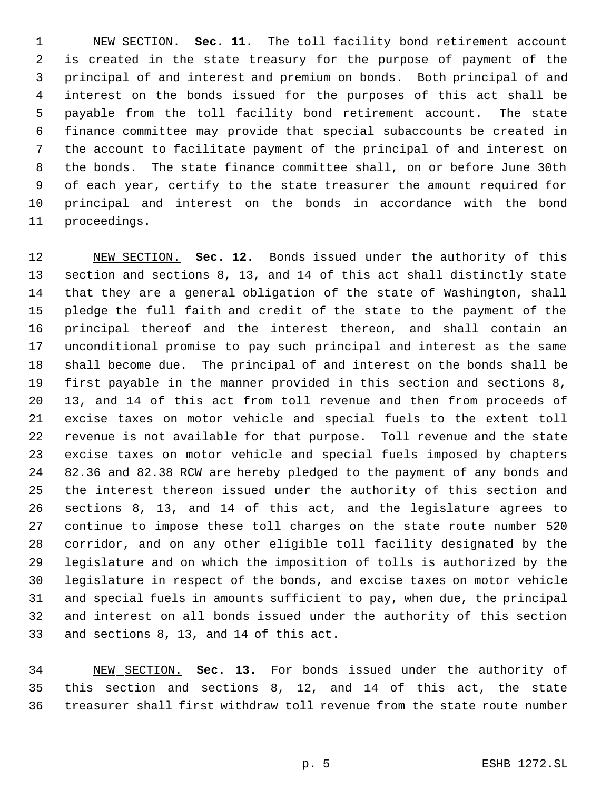NEW SECTION. **Sec. 11.** The toll facility bond retirement account is created in the state treasury for the purpose of payment of the principal of and interest and premium on bonds. Both principal of and interest on the bonds issued for the purposes of this act shall be payable from the toll facility bond retirement account. The state finance committee may provide that special subaccounts be created in the account to facilitate payment of the principal of and interest on the bonds. The state finance committee shall, on or before June 30th of each year, certify to the state treasurer the amount required for principal and interest on the bonds in accordance with the bond proceedings.

 NEW SECTION. **Sec. 12.** Bonds issued under the authority of this section and sections 8, 13, and 14 of this act shall distinctly state that they are a general obligation of the state of Washington, shall pledge the full faith and credit of the state to the payment of the principal thereof and the interest thereon, and shall contain an unconditional promise to pay such principal and interest as the same shall become due. The principal of and interest on the bonds shall be first payable in the manner provided in this section and sections 8, 13, and 14 of this act from toll revenue and then from proceeds of excise taxes on motor vehicle and special fuels to the extent toll revenue is not available for that purpose. Toll revenue and the state excise taxes on motor vehicle and special fuels imposed by chapters 82.36 and 82.38 RCW are hereby pledged to the payment of any bonds and the interest thereon issued under the authority of this section and sections 8, 13, and 14 of this act, and the legislature agrees to continue to impose these toll charges on the state route number 520 corridor, and on any other eligible toll facility designated by the legislature and on which the imposition of tolls is authorized by the legislature in respect of the bonds, and excise taxes on motor vehicle and special fuels in amounts sufficient to pay, when due, the principal and interest on all bonds issued under the authority of this section and sections 8, 13, and 14 of this act.

 NEW SECTION. **Sec. 13.** For bonds issued under the authority of this section and sections 8, 12, and 14 of this act, the state treasurer shall first withdraw toll revenue from the state route number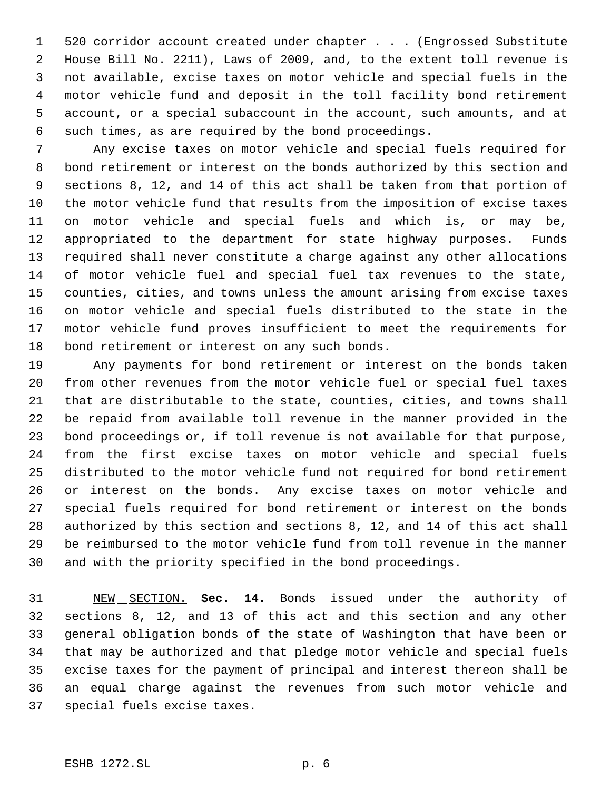520 corridor account created under chapter . . . (Engrossed Substitute House Bill No. 2211), Laws of 2009, and, to the extent toll revenue is not available, excise taxes on motor vehicle and special fuels in the motor vehicle fund and deposit in the toll facility bond retirement account, or a special subaccount in the account, such amounts, and at such times, as are required by the bond proceedings.

 Any excise taxes on motor vehicle and special fuels required for bond retirement or interest on the bonds authorized by this section and sections 8, 12, and 14 of this act shall be taken from that portion of the motor vehicle fund that results from the imposition of excise taxes on motor vehicle and special fuels and which is, or may be, appropriated to the department for state highway purposes. Funds required shall never constitute a charge against any other allocations of motor vehicle fuel and special fuel tax revenues to the state, counties, cities, and towns unless the amount arising from excise taxes on motor vehicle and special fuels distributed to the state in the motor vehicle fund proves insufficient to meet the requirements for bond retirement or interest on any such bonds.

 Any payments for bond retirement or interest on the bonds taken from other revenues from the motor vehicle fuel or special fuel taxes that are distributable to the state, counties, cities, and towns shall be repaid from available toll revenue in the manner provided in the bond proceedings or, if toll revenue is not available for that purpose, from the first excise taxes on motor vehicle and special fuels distributed to the motor vehicle fund not required for bond retirement or interest on the bonds. Any excise taxes on motor vehicle and special fuels required for bond retirement or interest on the bonds authorized by this section and sections 8, 12, and 14 of this act shall be reimbursed to the motor vehicle fund from toll revenue in the manner and with the priority specified in the bond proceedings.

 NEW SECTION. **Sec. 14.** Bonds issued under the authority of sections 8, 12, and 13 of this act and this section and any other general obligation bonds of the state of Washington that have been or that may be authorized and that pledge motor vehicle and special fuels excise taxes for the payment of principal and interest thereon shall be an equal charge against the revenues from such motor vehicle and special fuels excise taxes.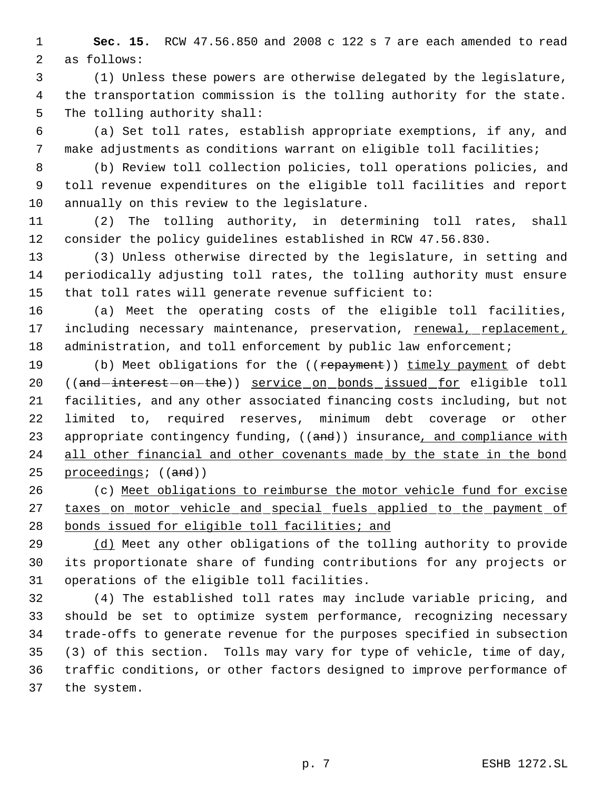**Sec. 15.** RCW 47.56.850 and 2008 c 122 s 7 are each amended to read as follows:

 (1) Unless these powers are otherwise delegated by the legislature, the transportation commission is the tolling authority for the state. The tolling authority shall:

 (a) Set toll rates, establish appropriate exemptions, if any, and make adjustments as conditions warrant on eligible toll facilities;

 (b) Review toll collection policies, toll operations policies, and toll revenue expenditures on the eligible toll facilities and report annually on this review to the legislature.

 (2) The tolling authority, in determining toll rates, shall consider the policy guidelines established in RCW 47.56.830.

 (3) Unless otherwise directed by the legislature, in setting and periodically adjusting toll rates, the tolling authority must ensure that toll rates will generate revenue sufficient to:

 (a) Meet the operating costs of the eligible toll facilities, 17 including necessary maintenance, preservation, renewal, replacement, 18 administration, and toll enforcement by public law enforcement;

19 (b) Meet obligations for the ((repayment)) timely payment of debt 20 ((and-interest-on-the)) service on bonds issued for eligible toll facilities, and any other associated financing costs including, but not limited to, required reserves, minimum debt coverage or other 23 appropriate contingency funding, ((and)) insurance, and compliance with 24 all other financial and other covenants made by the state in the bond 25 proceedings;  $((and))$ 

 (c) Meet obligations to reimburse the motor vehicle fund for excise 27 taxes on motor vehicle and special fuels applied to the payment of 28 bonds issued for eligible toll facilities; and

 (d) Meet any other obligations of the tolling authority to provide its proportionate share of funding contributions for any projects or operations of the eligible toll facilities.

 (4) The established toll rates may include variable pricing, and should be set to optimize system performance, recognizing necessary trade-offs to generate revenue for the purposes specified in subsection (3) of this section. Tolls may vary for type of vehicle, time of day, traffic conditions, or other factors designed to improve performance of the system.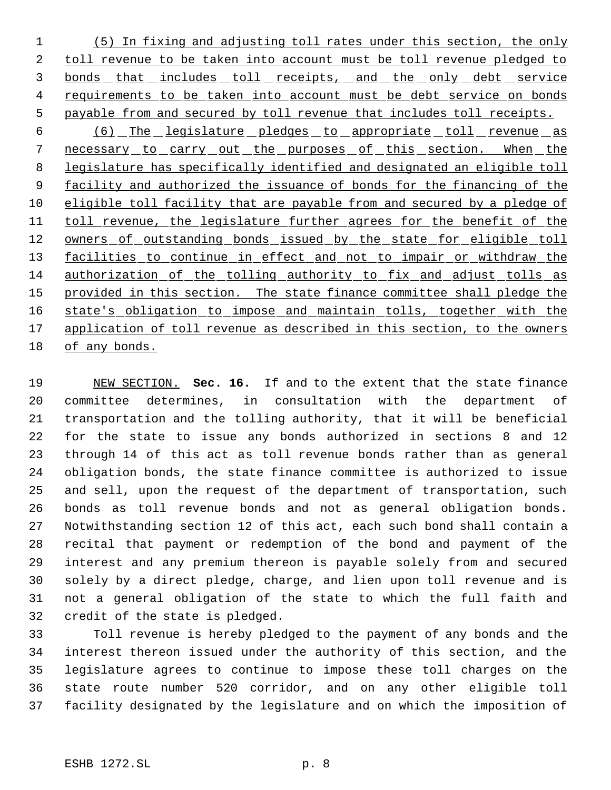(5) In fixing and adjusting toll rates under this section, the only 2 toll revenue to be taken into account must be toll revenue pledged to 3 bonds that includes toll receipts, and the only debt service 4 requirements to be taken into account must be debt service on bonds payable from and secured by toll revenue that includes toll receipts.

6 (6) The legislature pledges to appropriate toll revenue as 7 necessary to carry out the purposes of this section. When the legislature has specifically identified and designated an eligible toll 9 facility and authorized the issuance of bonds for the financing of the eligible toll facility that are payable from and secured by a pledge of 11 toll revenue, the legislature further agrees for the benefit of the 12 owners of outstanding bonds issued by the state for eligible toll 13 facilities to continue in effect and not to impair or withdraw the authorization of the tolling authority to fix and adjust tolls as 15 provided in this section. The state finance committee shall pledge the 16 state's obligation to impose and maintain tolls, together with the 17 application of toll revenue as described in this section, to the owners of any bonds.

 NEW SECTION. **Sec. 16.** If and to the extent that the state finance committee determines, in consultation with the department of transportation and the tolling authority, that it will be beneficial for the state to issue any bonds authorized in sections 8 and 12 through 14 of this act as toll revenue bonds rather than as general obligation bonds, the state finance committee is authorized to issue and sell, upon the request of the department of transportation, such bonds as toll revenue bonds and not as general obligation bonds. Notwithstanding section 12 of this act, each such bond shall contain a recital that payment or redemption of the bond and payment of the interest and any premium thereon is payable solely from and secured solely by a direct pledge, charge, and lien upon toll revenue and is not a general obligation of the state to which the full faith and credit of the state is pledged.

 Toll revenue is hereby pledged to the payment of any bonds and the interest thereon issued under the authority of this section, and the legislature agrees to continue to impose these toll charges on the state route number 520 corridor, and on any other eligible toll facility designated by the legislature and on which the imposition of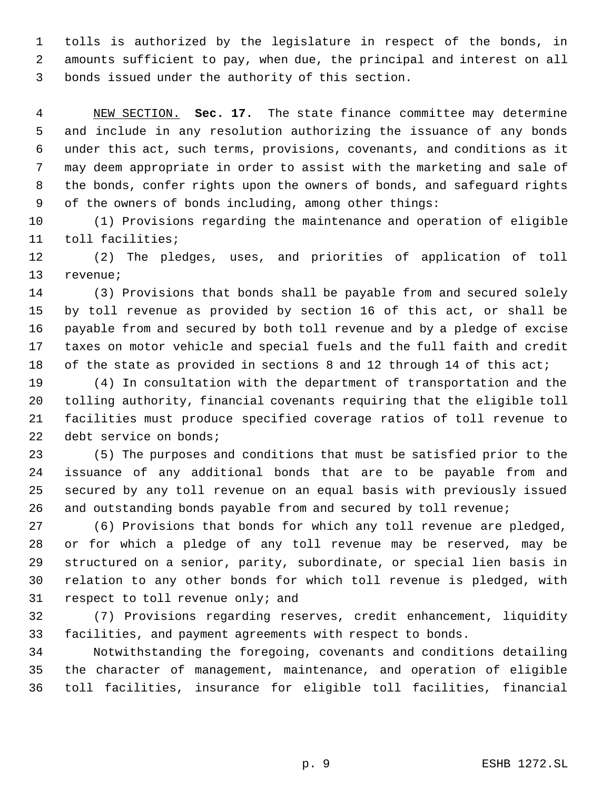tolls is authorized by the legislature in respect of the bonds, in amounts sufficient to pay, when due, the principal and interest on all bonds issued under the authority of this section.

 NEW SECTION. **Sec. 17.** The state finance committee may determine and include in any resolution authorizing the issuance of any bonds under this act, such terms, provisions, covenants, and conditions as it may deem appropriate in order to assist with the marketing and sale of the bonds, confer rights upon the owners of bonds, and safeguard rights of the owners of bonds including, among other things:

 (1) Provisions regarding the maintenance and operation of eligible toll facilities;

 (2) The pledges, uses, and priorities of application of toll revenue;

 (3) Provisions that bonds shall be payable from and secured solely by toll revenue as provided by section 16 of this act, or shall be payable from and secured by both toll revenue and by a pledge of excise taxes on motor vehicle and special fuels and the full faith and credit 18 of the state as provided in sections 8 and 12 through 14 of this act;

 (4) In consultation with the department of transportation and the tolling authority, financial covenants requiring that the eligible toll facilities must produce specified coverage ratios of toll revenue to debt service on bonds;

 (5) The purposes and conditions that must be satisfied prior to the issuance of any additional bonds that are to be payable from and secured by any toll revenue on an equal basis with previously issued and outstanding bonds payable from and secured by toll revenue;

 (6) Provisions that bonds for which any toll revenue are pledged, or for which a pledge of any toll revenue may be reserved, may be structured on a senior, parity, subordinate, or special lien basis in relation to any other bonds for which toll revenue is pledged, with respect to toll revenue only; and

 (7) Provisions regarding reserves, credit enhancement, liquidity facilities, and payment agreements with respect to bonds.

 Notwithstanding the foregoing, covenants and conditions detailing the character of management, maintenance, and operation of eligible toll facilities, insurance for eligible toll facilities, financial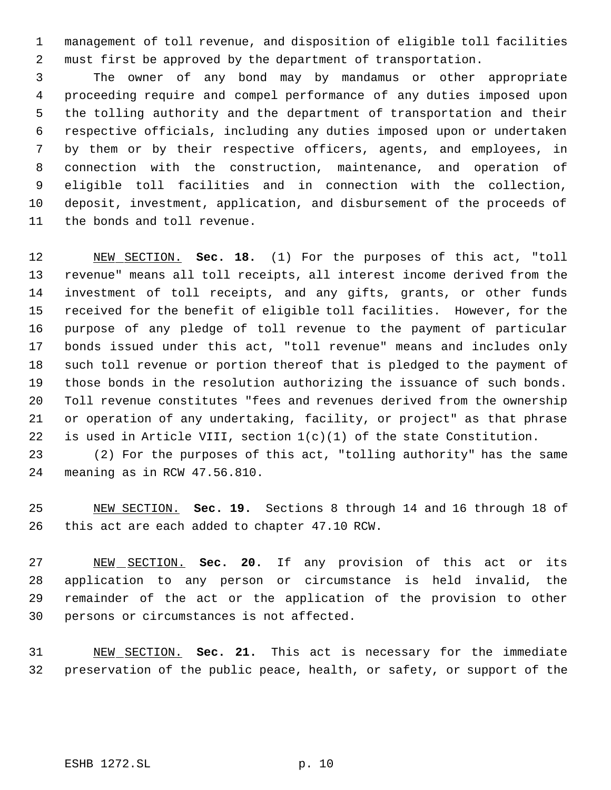management of toll revenue, and disposition of eligible toll facilities must first be approved by the department of transportation.

 The owner of any bond may by mandamus or other appropriate proceeding require and compel performance of any duties imposed upon the tolling authority and the department of transportation and their respective officials, including any duties imposed upon or undertaken by them or by their respective officers, agents, and employees, in connection with the construction, maintenance, and operation of eligible toll facilities and in connection with the collection, deposit, investment, application, and disbursement of the proceeds of the bonds and toll revenue.

 NEW SECTION. **Sec. 18.** (1) For the purposes of this act, "toll revenue" means all toll receipts, all interest income derived from the investment of toll receipts, and any gifts, grants, or other funds received for the benefit of eligible toll facilities. However, for the purpose of any pledge of toll revenue to the payment of particular bonds issued under this act, "toll revenue" means and includes only such toll revenue or portion thereof that is pledged to the payment of those bonds in the resolution authorizing the issuance of such bonds. Toll revenue constitutes "fees and revenues derived from the ownership or operation of any undertaking, facility, or project" as that phrase 22 is used in Article VIII, section  $1(c)(1)$  of the state Constitution.

 (2) For the purposes of this act, "tolling authority" has the same meaning as in RCW 47.56.810.

 NEW SECTION. **Sec. 19.** Sections 8 through 14 and 16 through 18 of this act are each added to chapter 47.10 RCW.

 NEW SECTION. **Sec. 20.** If any provision of this act or its application to any person or circumstance is held invalid, the remainder of the act or the application of the provision to other persons or circumstances is not affected.

 NEW SECTION. **Sec. 21.** This act is necessary for the immediate preservation of the public peace, health, or safety, or support of the